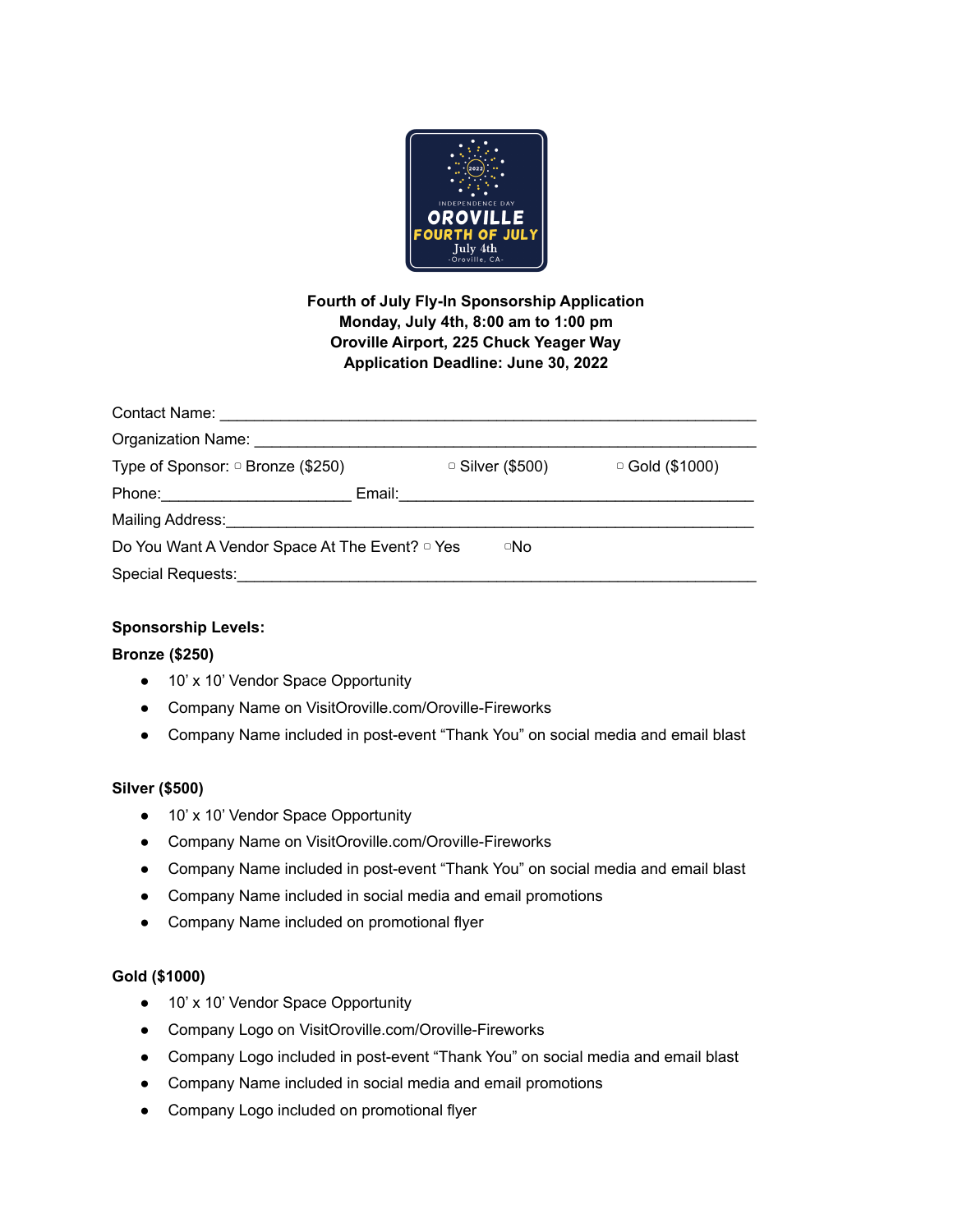

**Fourth of July Fly-In Sponsorship Application Monday, July 4th, 8:00 am to 1:00 pm Oroville Airport, 225 Chuck Yeager Way Application Deadline: June 30, 2022**

| Organization Name: Name: Name and Separation School and Separation School and Separation School and Separation |  |                  |                       |
|----------------------------------------------------------------------------------------------------------------|--|------------------|-----------------------|
| Type of Sponsor: $\circ$ Bronze (\$250)                                                                        |  | □ Silver (\$500) | $\circ$ Gold (\$1000) |
|                                                                                                                |  |                  |                       |
| Mailing Address: Mailing Address:                                                                              |  |                  |                       |
| Do You Want A Vendor Space At The Event? <sup>o</sup> Yes                                                      |  | □No              |                       |
| Special Requests: Analysis of the Special Requests:                                                            |  |                  |                       |

# **Sponsorship Levels:**

# **Bronze (\$250)**

- 10' x 10' Vendor Space Opportunity
- Company Name on VisitOroville.com/Oroville-Fireworks
- Company Name included in post-event "Thank You" on social media and email blast

# **Silver (\$500)**

- 10' x 10' Vendor Space Opportunity
- Company Name on VisitOroville.com/Oroville-Fireworks
- Company Name included in post-event "Thank You" on social media and email blast
- Company Name included in social media and email promotions
- Company Name included on promotional flyer

# **Gold (\$1000)**

- 10' x 10' Vendor Space Opportunity
- Company Logo on VisitOroville.com/Oroville-Fireworks
- Company Logo included in post-event "Thank You" on social media and email blast
- Company Name included in social media and email promotions
- Company Logo included on promotional flyer